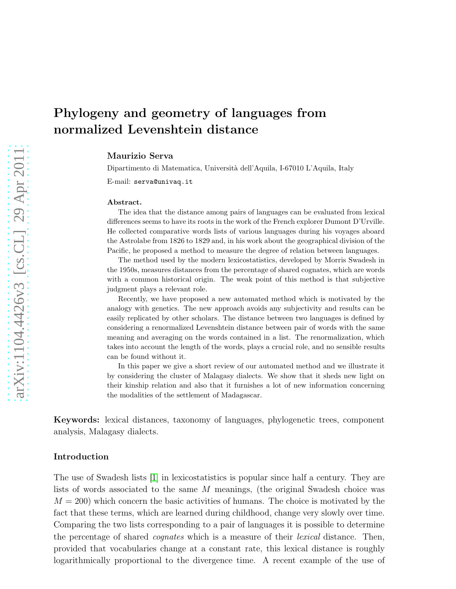# Phylogeny and geometry of languages from normalized Levenshtein distance

Maurizio Serva

Dipartimento di Matematica, Università dell'Aquila, I-67010 L'Aquila, Italy

E-mail: serva@univaq.it

#### Abstract.

The idea that the distance among pairs of languages can be evaluated from lexical differences seems to have its roots in the work of the French explorer Dumont D'Urville. He collected comparative words lists of various languages during his voyages aboard the Astrolabe from 1826 to 1829 and, in his work about the geographical division of the Pacific, he proposed a method to measure the degree of relation between languages.

The method used by the modern lexicostatistics, developed by Morris Swadesh in the 1950s, measures distances from the percentage of shared cognates, which are words with a common historical origin. The weak point of this method is that subjective judgment plays a relevant role.

Recently, we have proposed a new automated method which is motivated by the analogy with genetics. The new approach avoids any subjectivity and results can be easily replicated by other scholars. The distance between two languages is defined by considering a renormalized Levenshtein distance between pair of words with the same meaning and averaging on the words contained in a list. The renormalization, which takes into account the length of the words, plays a crucial role, and no sensible results can be found without it.

In this paper we give a short review of our automated method and we illustrate it by considering the cluster of Malagasy dialects. We show that it sheds new light on their kinship relation and also that it furnishes a lot of new information concerning the modalities of the settlement of Madagascar.

Keywords: lexical distances, taxonomy of languages, phylogenetic trees, component analysis, Malagasy dialects.

#### Introduction

The use of Swadesh lists [\[1\]](#page-6-0) in lexicostatistics is popular since half a century. They are lists of words associated to the same M meanings, (the original Swadesh choice was  $M = 200$ ) which concern the basic activities of humans. The choice is motivated by the fact that these terms, which are learned during childhood, change very slowly over time. Comparing the two lists corresponding to a pair of languages it is possible to determine the percentage of shared *cognates* which is a measure of their *lexical* distance. Then, provided that vocabularies change at a constant rate, this lexical distance is roughly logarithmically proportional to the divergence time. A recent example of the use of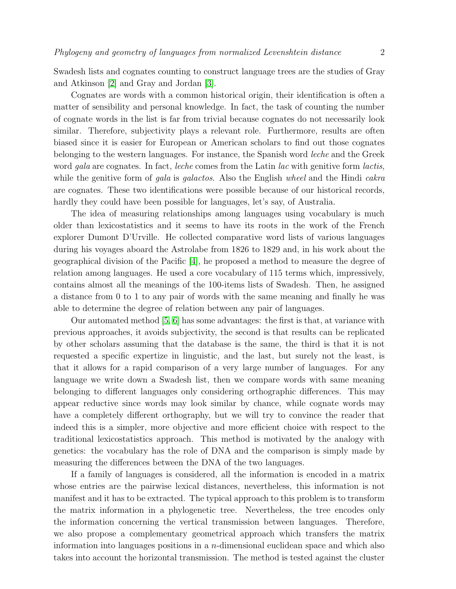Swadesh lists and cognates counting to construct language trees are the studies of Gray and Atkinson [\[2\]](#page-6-1) and Gray and Jordan [\[3\]](#page-6-2).

Cognates are words with a common historical origin, their identification is often a matter of sensibility and personal knowledge. In fact, the task of counting the number of cognate words in the list is far from trivial because cognates do not necessarily look similar. Therefore, subjectivity plays a relevant role. Furthermore, results are often biased since it is easier for European or American scholars to find out those cognates belonging to the western languages. For instance, the Spanish word leche and the Greek word gala are cognates. In fact, leche comes from the Latin lac with genitive form lactis, while the genitive form of gala is galactos. Also the English wheel and the Hindi cakra are cognates. These two identifications were possible because of our historical records, hardly they could have been possible for languages, let's say, of Australia.

The idea of measuring relationships among languages using vocabulary is much older than lexicostatistics and it seems to have its roots in the work of the French explorer Dumont D'Urville. He collected comparative word lists of various languages during his voyages aboard the Astrolabe from 1826 to 1829 and, in his work about the geographical division of the Pacific [\[4\]](#page-6-3), he proposed a method to measure the degree of relation among languages. He used a core vocabulary of 115 terms which, impressively, contains almost all the meanings of the 100-items lists of Swadesh. Then, he assigned a distance from 0 to 1 to any pair of words with the same meaning and finally he was able to determine the degree of relation between any pair of languages.

Our automated method [\[5,](#page-6-4) [6\]](#page-6-5) has some advantages: the first is that, at variance with previous approaches, it avoids subjectivity, the second is that results can be replicated by other scholars assuming that the database is the same, the third is that it is not requested a specific expertize in linguistic, and the last, but surely not the least, is that it allows for a rapid comparison of a very large number of languages. For any language we write down a Swadesh list, then we compare words with same meaning belonging to different languages only considering orthographic differences. This may appear reductive since words may look similar by chance, while cognate words may have a completely different orthography, but we will try to convince the reader that indeed this is a simpler, more objective and more efficient choice with respect to the traditional lexicostatistics approach. This method is motivated by the analogy with genetics: the vocabulary has the role of DNA and the comparison is simply made by measuring the differences between the DNA of the two languages.

If a family of languages is considered, all the information is encoded in a matrix whose entries are the pairwise lexical distances, nevertheless, this information is not manifest and it has to be extracted. The typical approach to this problem is to transform the matrix information in a phylogenetic tree. Nevertheless, the tree encodes only the information concerning the vertical transmission between languages. Therefore, we also propose a complementary geometrical approach which transfers the matrix information into languages positions in a n-dimensional euclidean space and which also takes into account the horizontal transmission. The method is tested against the cluster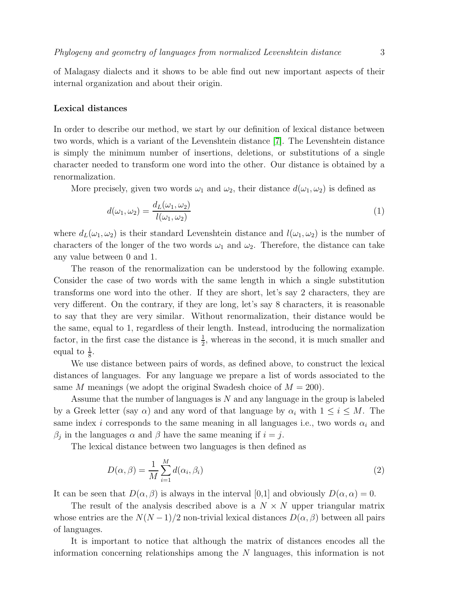of Malagasy dialects and it shows to be able find out new important aspects of their internal organization and about their origin.

#### Lexical distances

In order to describe our method, we start by our definition of lexical distance between two words, which is a variant of the Levenshtein distance [\[7\]](#page-6-6). The Levenshtein distance is simply the minimum number of insertions, deletions, or substitutions of a single character needed to transform one word into the other. Our distance is obtained by a renormalization.

More precisely, given two words  $\omega_1$  and  $\omega_2$ , their distance  $d(\omega_1, \omega_2)$  is defined as

$$
d(\omega_1, \omega_2) = \frac{d_L(\omega_1, \omega_2)}{l(\omega_1, \omega_2)}
$$
\n(1)

where  $d_L(\omega_1, \omega_2)$  is their standard Levenshtein distance and  $l(\omega_1, \omega_2)$  is the number of characters of the longer of the two words  $\omega_1$  and  $\omega_2$ . Therefore, the distance can take any value between 0 and 1.

The reason of the renormalization can be understood by the following example. Consider the case of two words with the same length in which a single substitution transforms one word into the other. If they are short, let's say 2 characters, they are very different. On the contrary, if they are long, let's say 8 characters, it is reasonable to say that they are very similar. Without renormalization, their distance would be the same, equal to 1, regardless of their length. Instead, introducing the normalization factor, in the first case the distance is  $\frac{1}{2}$ , whereas in the second, it is much smaller and equal to  $\frac{1}{8}$ .

We use distance between pairs of words, as defined above, to construct the lexical distances of languages. For any language we prepare a list of words associated to the same M meanings (we adopt the original Swadesh choice of  $M = 200$ ).

Assume that the number of languages is N and any language in the group is labeled by a Greek letter (say  $\alpha$ ) and any word of that language by  $\alpha_i$  with  $1 \leq i \leq M$ . The same index i corresponds to the same meaning in all languages i.e., two words  $\alpha_i$  and  $\beta_j$  in the languages  $\alpha$  and  $\beta$  have the same meaning if  $i = j$ .

The lexical distance between two languages is then defined as

$$
D(\alpha, \beta) = \frac{1}{M} \sum_{i=1}^{M} d(\alpha_i, \beta_i)
$$
\n(2)

It can be seen that  $D(\alpha, \beta)$  is always in the interval [0,1] and obviously  $D(\alpha, \alpha) = 0$ .

The result of the analysis described above is a  $N \times N$  upper triangular matrix whose entries are the  $N(N-1)/2$  non-trivial lexical distances  $D(\alpha, \beta)$  between all pairs of languages.

It is important to notice that although the matrix of distances encodes all the information concerning relationships among the N languages, this information is not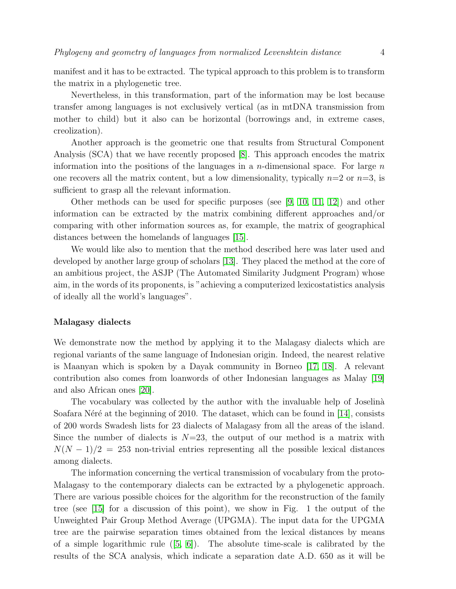manifest and it has to be extracted. The typical approach to this problem is to transform the matrix in a phylogenetic tree.

Nevertheless, in this transformation, part of the information may be lost because transfer among languages is not exclusively vertical (as in mtDNA transmission from mother to child) but it also can be horizontal (borrowings and, in extreme cases, creolization).

Another approach is the geometric one that results from Structural Component Analysis (SCA) that we have recently proposed [\[8\]](#page-6-7). This approach encodes the matrix information into the positions of the languages in a *n*-dimensional space. For large  $n$ one recovers all the matrix content, but a low dimensionality, typically  $n=2$  or  $n=3$ , is sufficient to grasp all the relevant information.

Other methods can be used for specific purposes (see [\[9,](#page-6-8) [10,](#page-6-9) [11,](#page-6-10) [12\]](#page-6-11)) and other information can be extracted by the matrix combining different approaches and/or comparing with other information sources as, for example, the matrix of geographical distances between the homelands of languages [\[15\]](#page-6-12).

We would like also to mention that the method described here was later used and developed by another large group of scholars [\[13\]](#page-6-13). They placed the method at the core of an ambitious project, the ASJP (The Automated Similarity Judgment Program) whose aim, in the words of its proponents, is "achieving a computerized lexicostatistics analysis of ideally all the world's languages".

### Malagasy dialects

We demonstrate now the method by applying it to the Malagasy dialects which are regional variants of the same language of Indonesian origin. Indeed, the nearest relative is Maanyan which is spoken by a Dayak community in Borneo [\[17,](#page-6-14) [18\]](#page-6-15). A relevant contribution also comes from loanwords of other Indonesian languages as Malay [\[19\]](#page-6-16) and also African ones [\[20\]](#page-6-17).

The vocabulary was collected by the author with the invaluable help of Joselinà Soafara Néré at the beginning of 2010. The dataset, which can be found in  $[14]$ , consists of 200 words Swadesh lists for 23 dialects of Malagasy from all the areas of the island. Since the number of dialects is  $N=23$ , the output of our method is a matrix with  $N(N-1)/2 = 253$  non-trivial entries representing all the possible lexical distances among dialects.

The information concerning the vertical transmission of vocabulary from the proto-Malagasy to the contemporary dialects can be extracted by a phylogenetic approach. There are various possible choices for the algorithm for the reconstruction of the family tree (see [\[15\]](#page-6-12) for a discussion of this point), we show in Fig. 1 the output of the Unweighted Pair Group Method Average (UPGMA). The input data for the UPGMA tree are the pairwise separation times obtained from the lexical distances by means of a simple logarithmic rule  $([5, 6])$  $([5, 6])$  $([5, 6])$  $([5, 6])$ . The absolute time-scale is calibrated by the results of the SCA analysis, which indicate a separation date A.D. 650 as it will be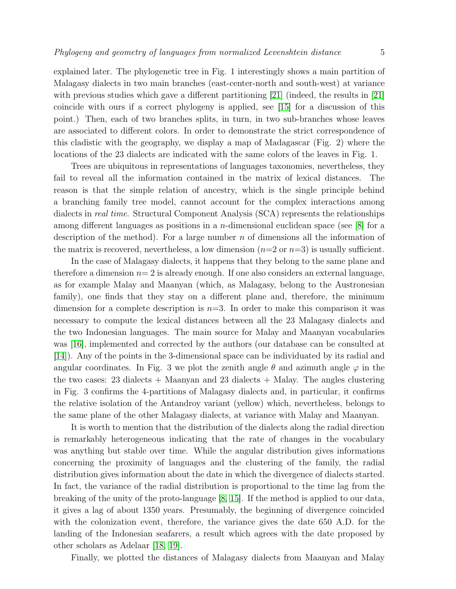explained later. The phylogenetic tree in Fig. 1 interestingly shows a main partition of Malagasy dialects in two main branches (east-center-north and south-west) at variance with previous studies which gave a different partitioning [\[21\]](#page-6-19) (indeed, the results in [21] coincide with ours if a correct phylogeny is applied, see [\[15\]](#page-6-12) for a discussion of this point.) Then, each of two branches splits, in turn, in two sub-branches whose leaves are associated to different colors. In order to demonstrate the strict correspondence of this cladistic with the geography, we display a map of Madagascar (Fig. 2) where the locations of the 23 dialects are indicated with the same colors of the leaves in Fig. 1.

Trees are ubiquitous in representations of languages taxonomies, nevertheless, they fail to reveal all the information contained in the matrix of lexical distances. The reason is that the simple relation of ancestry, which is the single principle behind a branching family tree model, cannot account for the complex interactions among dialects in real time. Structural Component Analysis (SCA) represents the relationships among different languages as positions in a n-dimensional euclidean space (see [\[8\]](#page-6-7) for a description of the method). For a large number  $n$  of dimensions all the information of the matrix is recovered, nevertheless, a low dimension  $(n=2 \text{ or } n=3)$  is usually sufficient.

In the case of Malagasy dialects, it happens that they belong to the same plane and therefore a dimension  $n=2$  is already enough. If one also considers an external language, as for example Malay and Maanyan (which, as Malagasy, belong to the Austronesian family), one finds that they stay on a different plane and, therefore, the minimum dimension for a complete description is  $n=3$ . In order to make this comparison it was necessary to compute the lexical distances between all the 23 Malagasy dialects and the two Indonesian languages. The main source for Malay and Maanyan vocabularies was [\[16\]](#page-6-20), implemented and corrected by the authors (our database can be consulted at [\[14\]](#page-6-18)). Any of the points in the 3-dimensional space can be individuated by its radial and angular coordinates. In Fig. 3 we plot the zenith angle  $\theta$  and azimuth angle  $\varphi$  in the the two cases:  $23$  dialects + Maanyan and  $23$  dialects + Malay. The angles clustering in Fig. 3 confirms the 4-partitions of Malagasy dialects and, in particular, it confirms the relative isolation of the Antandroy variant (yellow) which, nevertheless, belongs to the same plane of the other Malagasy dialects, at variance with Malay and Maanyan.

It is worth to mention that the distribution of the dialects along the radial direction is remarkably heterogeneous indicating that the rate of changes in the vocabulary was anything but stable over time. While the angular distribution gives informations concerning the proximity of languages and the clustering of the family, the radial distribution gives information about the date in which the divergence of dialects started. In fact, the variance of the radial distribution is proportional to the time lag from the breaking of the unity of the proto-language [\[8,](#page-6-7) [15\]](#page-6-12). If the method is applied to our data, it gives a lag of about 1350 years. Presumably, the beginning of divergence coincided with the colonization event, therefore, the variance gives the date 650 A.D. for the landing of the Indonesian seafarers, a result which agrees with the date proposed by other scholars as Adelaar [\[18,](#page-6-15) [19\]](#page-6-16).

Finally, we plotted the distances of Malagasy dialects from Maanyan and Malay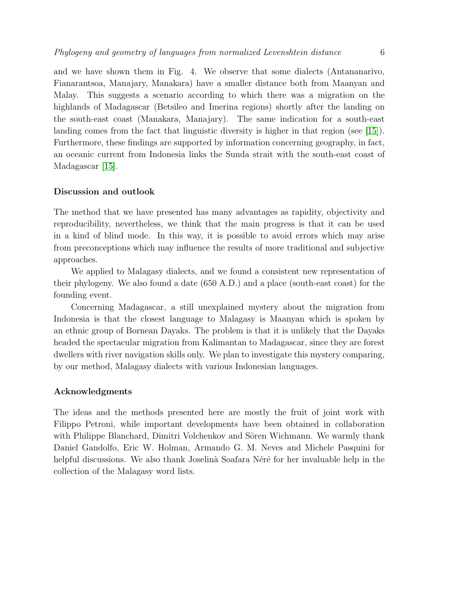and we have shown them in Fig. 4. We observe that some dialects (Antananarivo, Fianarantsoa, Manajary, Manakara) have a smaller distance both from Maanyan and Malay. This suggests a scenario according to which there was a migration on the highlands of Madagascar (Betsileo and Imerina regions) shortly after the landing on the south-east coast (Manakara, Manajary). The same indication for a south-east landing comes from the fact that linguistic diversity is higher in that region (see [\[15\]](#page-6-12)). Furthermore, these findings are supported by information concerning geography, in fact, an oceanic current from Indonesia links the Sunda strait with the south-east coast of Madagascar [\[15\]](#page-6-12).

#### Discussion and outlook

The method that we have presented has many advantages as rapidity, objectivity and reproducibility, nevertheless, we think that the main progress is that it can be used in a kind of blind mode. In this way, it is possible to avoid errors which may arise from preconceptions which may influence the results of more traditional and subjective approaches.

We applied to Malagasy dialects, and we found a consistent new representation of their phylogeny. We also found a date (650 A.D.) and a place (south-east coast) for the founding event.

Concerning Madagascar, a still unexplained mystery about the migration from Indonesia is that the closest language to Malagasy is Maanyan which is spoken by an ethnic group of Bornean Dayaks. The problem is that it is unlikely that the Dayaks headed the spectacular migration from Kalimantan to Madagascar, since they are forest dwellers with river navigation skills only. We plan to investigate this mystery comparing, by our method, Malagasy dialects with various Indonesian languages.

#### Acknowledgments

The ideas and the methods presented here are mostly the fruit of joint work with Filippo Petroni, while important developments have been obtained in collaboration with Philippe Blanchard, Dimitri Volchenkov and Sören Wichmann. We warmly thank Daniel Gandolfo, Eric W. Holman, Armando G. M. Neves and Michele Pasquini for helpful discussions. We also thank Joselinà Soafara Néré for her invaluable help in the collection of the Malagasy word lists.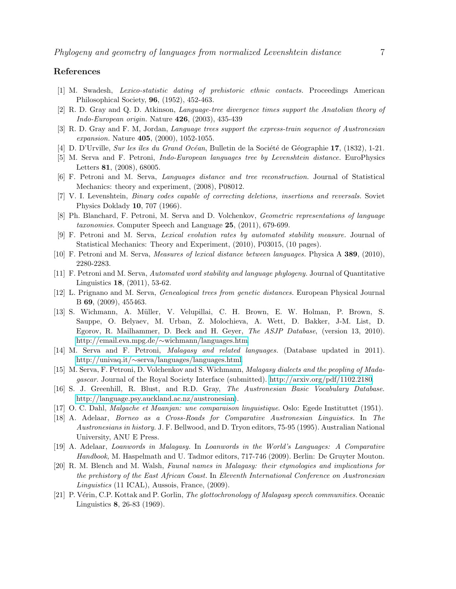## <span id="page-6-0"></span>References

- <span id="page-6-1"></span>[1] M. Swadesh, *Lexico-statistic dating of prehistoric ethnic contacts.* Proceedings American Philosophical Society, 96, (1952), 452-463.
- <span id="page-6-2"></span>[2] R. D. Gray and Q. D. Atkinson, *Language-tree divergence times support the Anatolian theory of Indo-European origin.* Nature 426, (2003), 435-439
- <span id="page-6-3"></span>[3] R. D. Gray and F. M, Jordan, *Language trees support the express-train sequence of Austronesian expansion.* Nature 405, (2000), 1052-1055.
- <span id="page-6-4"></span>[4] D. D'Urville, *Sur les îles du Grand Océan*, Bulletin de la Société de Géographie 17, (1832), 1-21.
- <span id="page-6-5"></span>[5] M. Serva and F. Petroni, *Indo-European languages tree by Levenshtein distance.* EuroPhysics Letters 81, (2008), 68005.
- <span id="page-6-6"></span>[6] F. Petroni and M. Serva, *Languages distance and tree reconstruction.* Journal of Statistical Mechanics: theory and experiment, (2008), P08012.
- <span id="page-6-7"></span>[7] V. I. Levenshtein, *Binary codes capable of correcting deletions, insertions and reversals.* Soviet Physics Doklady 10, 707 (1966).
- <span id="page-6-8"></span>[8] Ph. Blanchard, F. Petroni, M. Serva and D. Volchenkov, *Geometric representations of language taxonomies.* Computer Speech and Language 25, (2011), 679-699.
- <span id="page-6-9"></span>[9] F. Petroni and M. Serva, *Lexical evolution rates by automated stability measure.* Journal of Statistical Mechanics: Theory and Experiment, (2010), P03015, (10 pages).
- <span id="page-6-10"></span>[10] F. Petroni and M. Serva, *Measures of lexical distance between languages.* Physica A 389, (2010), 2280-2283.
- <span id="page-6-11"></span>[11] F. Petroni and M. Serva, *Automated word stability and language phylogeny.* Journal of Quantitative Linguistics 18, (2011), 53-62.
- <span id="page-6-13"></span>[12] L. Prignano and M. Serva, *Genealogical trees from genetic distances.* European Physical Journal B 69, (2009), 455463.
- [13] S. Wichmann, A. M¨uller, V. Velupillai, C. H. Brown, E. W. Holman, P. Brown, S. Sauppe, O. Belyaev, M. Urban, Z. Molochieva, A. Wett, D. Bakker, J-M. List, D. Egorov, R. Mailhammer, D. Beck and H. Geyer, *The ASJP Database*, (version 13, 2010). http://email.eva.mpg.de/∼[wichmann/languages.htm.](http://email.eva.mpg.de/~wichmann/languages.htm)
- <span id="page-6-18"></span><span id="page-6-12"></span>[14] M. Serva and F. Petroni, *Malagasy and related languages.* (Database updated in 2011). http://univaq.it/∼[serva/languages/languages.html.](http://univaq.it/~serva/languages/languages.html)
- <span id="page-6-20"></span>[15] M. Serva, F. Petroni, D. Volchenkov and S. Wichmann, *Malagasy dialects and the peopling of Madagascar.* Journal of the Royal Society Interface (submitted). [http://arxiv.org/pdf/1102.2180.](http://arxiv.org/pdf/1102.2180)
- [16] S. J. Greenhill, R. Blust, and R.D. Gray, *The Austronesian Basic Vocabulary Database.* [http://language.psy.auckland.ac.nz/austronesian\)](http://language.psy.auckland.ac.nz/austronesian).
- <span id="page-6-15"></span><span id="page-6-14"></span>[17] O. C. Dahl, *Malgache et Maanjan: une comparaison linguistique*. Oslo: Egede Instituttet (1951).
- [18] A. Adelaar, *Borneo as a Cross-Roads for Comparative Austronesian Linguistics.* In *The Austronesians in history.* J. F. Bellwood, and D. Tryon editors, 75-95 (1995). Australian National University, ANU E Press.
- <span id="page-6-17"></span><span id="page-6-16"></span>[19] A. Adelaar, *Loanwords in Malagasy.* In *Loanwords in the World's Languages: A Comparative Handbook,* M. Haspelmath and U. Tadmor editors, 717-746 (2009). Berlin: De Gruyter Mouton.
- [20] R. M. Blench and M. Walsh, *Faunal names in Malagasy: their etymologies and implications for the prehistory of the East African Coast.* In *Eleventh International Conference on Austronesian Linguistics* (11 ICAL), Aussois, France, (2009).
- <span id="page-6-19"></span>[21] P. V´erin, C.P. Kottak and P. Gorlin, *The glottochronology of Malagasy speech communities.* Oceanic Linguistics 8, 26-83 (1969).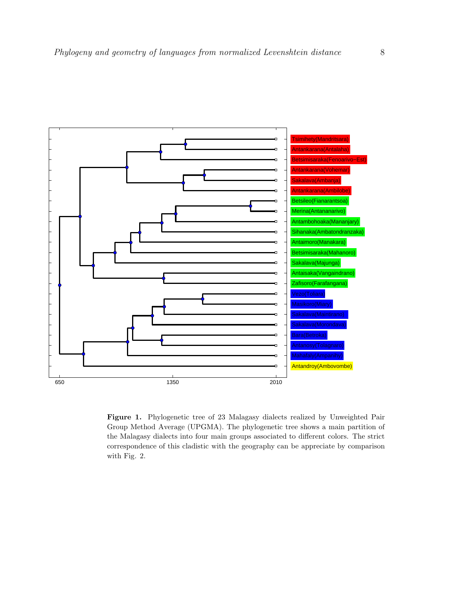

Figure 1. Phylogenetic tree of 23 Malagasy dialects realized by Unweighted Pair Group Method Average (UPGMA). The phylogenetic tree shows a main partition of the Malagasy dialects into four main groups associated to different colors. The strict correspondence of this cladistic with the geography can be appreciate by comparison with Fig. 2.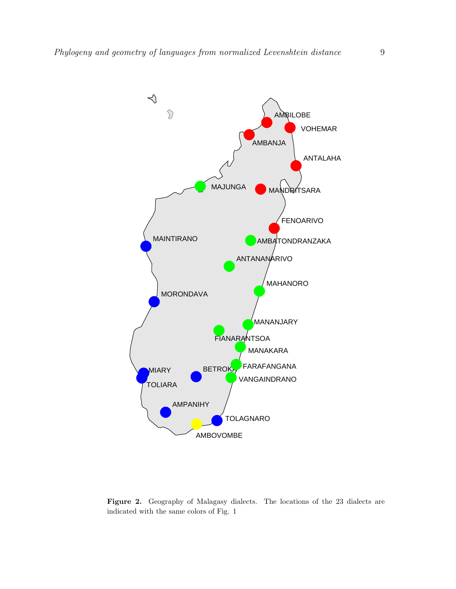

Figure 2. Geography of Malagasy dialects. The locations of the 23 dialects are indicated with the same colors of Fig. 1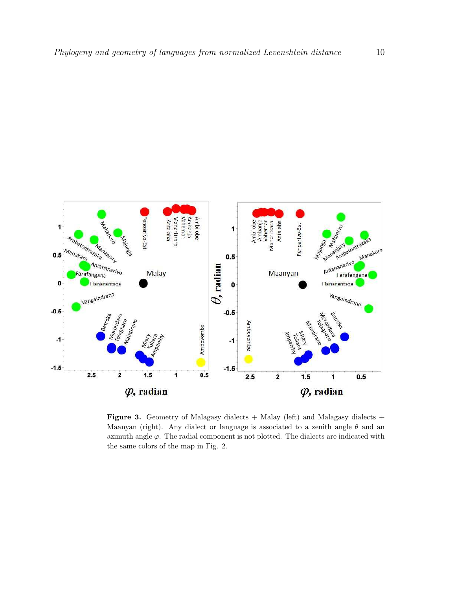

Figure 3. Geometry of Malagasy dialects  $+$  Malay (left) and Malagasy dialects  $+$ Maanyan (right). Any dialect or language is associated to a zenith angle  $\theta$  and an azimuth angle  $\varphi$ . The radial component is not plotted. The dialects are indicated with the same colors of the map in Fig. 2.